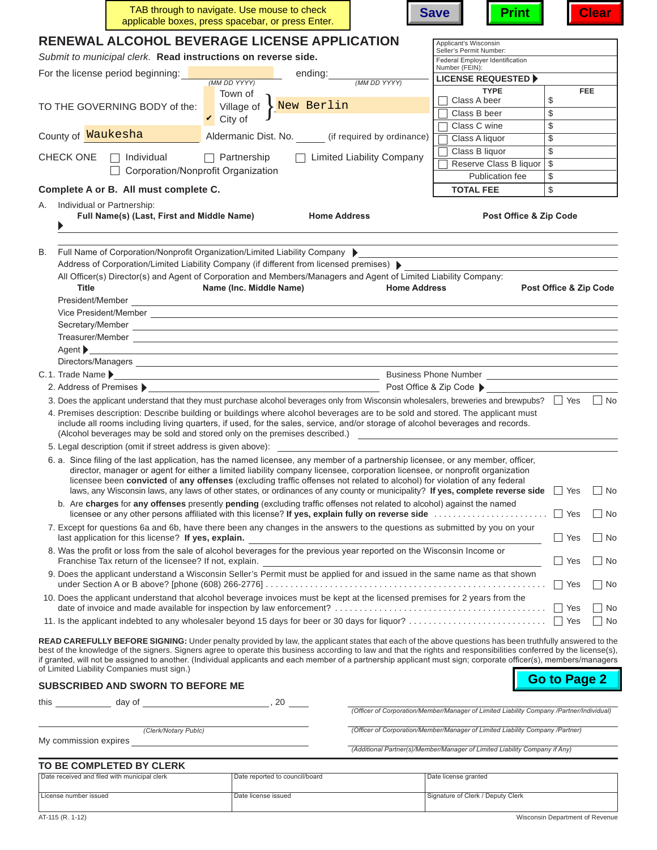|                                                                                                                                                                                                                                                                                                                                                                                                                                                                                                                                                  | TAB through to navigate. Use mouse to check<br>applicable boxes, press spacebar, or press Enter.                                                                                                                                                                                                                                                                                                   |                         |                                                 | <b>Save</b>                                  | <b>Print</b> |                                                                                          | <b>Clear</b>        |            |  |  |  |  |
|--------------------------------------------------------------------------------------------------------------------------------------------------------------------------------------------------------------------------------------------------------------------------------------------------------------------------------------------------------------------------------------------------------------------------------------------------------------------------------------------------------------------------------------------------|----------------------------------------------------------------------------------------------------------------------------------------------------------------------------------------------------------------------------------------------------------------------------------------------------------------------------------------------------------------------------------------------------|-------------------------|-------------------------------------------------|----------------------------------------------|--------------|------------------------------------------------------------------------------------------|---------------------|------------|--|--|--|--|
| RENEWAL ALCOHOL BEVERAGE LICENSE APPLICATION<br>Applicant's Wisconsin                                                                                                                                                                                                                                                                                                                                                                                                                                                                            |                                                                                                                                                                                                                                                                                                                                                                                                    |                         |                                                 |                                              |              |                                                                                          |                     |            |  |  |  |  |
|                                                                                                                                                                                                                                                                                                                                                                                                                                                                                                                                                  | Submit to municipal clerk. Read instructions on reverse side.                                                                                                                                                                                                                                                                                                                                      |                         |                                                 |                                              |              | Seller's Permit Number:<br><b>Federal Employer Identification</b>                        |                     |            |  |  |  |  |
|                                                                                                                                                                                                                                                                                                                                                                                                                                                                                                                                                  | For the license period beginning:                                                                                                                                                                                                                                                                                                                                                                  |                         |                                                 | Number (FEIN):<br><b>LICENSE REQUESTED ▶</b> |              |                                                                                          |                     |            |  |  |  |  |
|                                                                                                                                                                                                                                                                                                                                                                                                                                                                                                                                                  |                                                                                                                                                                                                                                                                                                                                                                                                    | (MM DD YYYY)<br>Town of |                                                 | (MM DD YYYY)                                 |              | <b>TYPE</b>                                                                              |                     | <b>FEE</b> |  |  |  |  |
|                                                                                                                                                                                                                                                                                                                                                                                                                                                                                                                                                  | TO THE GOVERNING BODY of the:                                                                                                                                                                                                                                                                                                                                                                      |                         | Village of <b>New Berlin</b>                    |                                              |              | Class A beer                                                                             | \$                  |            |  |  |  |  |
|                                                                                                                                                                                                                                                                                                                                                                                                                                                                                                                                                  |                                                                                                                                                                                                                                                                                                                                                                                                    | $\vee$ City of          |                                                 |                                              |              | Class B beer<br>Class C wine                                                             | \$<br>\$            |            |  |  |  |  |
| County of Waukesha                                                                                                                                                                                                                                                                                                                                                                                                                                                                                                                               |                                                                                                                                                                                                                                                                                                                                                                                                    |                         | Aldermanic Dist. No. (if required by ordinance) |                                              |              | Class A liquor                                                                           | \$                  |            |  |  |  |  |
|                                                                                                                                                                                                                                                                                                                                                                                                                                                                                                                                                  |                                                                                                                                                                                                                                                                                                                                                                                                    |                         | $\Box$ Limited Liability Company                |                                              |              | Class B liquor                                                                           | \$                  |            |  |  |  |  |
| CHECK ONE<br>  Individual<br>$\Box$ Partnership<br>Reserve Class B liquor<br>Corporation/Nonprofit Organization                                                                                                                                                                                                                                                                                                                                                                                                                                  |                                                                                                                                                                                                                                                                                                                                                                                                    |                         |                                                 |                                              |              |                                                                                          | \$<br>\$            |            |  |  |  |  |
|                                                                                                                                                                                                                                                                                                                                                                                                                                                                                                                                                  | Publication fee                                                                                                                                                                                                                                                                                                                                                                                    |                         |                                                 |                                              |              |                                                                                          |                     |            |  |  |  |  |
|                                                                                                                                                                                                                                                                                                                                                                                                                                                                                                                                                  | Complete A or B. All must complete C.                                                                                                                                                                                                                                                                                                                                                              |                         |                                                 |                                              |              | <b>TOTAL FEE</b>                                                                         | \$                  |            |  |  |  |  |
| Individual or Partnership:<br>А.                                                                                                                                                                                                                                                                                                                                                                                                                                                                                                                 | Full Name(s) (Last, First and Middle Name)                                                                                                                                                                                                                                                                                                                                                         |                         | <b>Home Address</b>                             |                                              |              | Post Office & Zip Code                                                                   |                     |            |  |  |  |  |
| Full Name of Corporation/Nonprofit Organization/Limited Liability Company<br>В.                                                                                                                                                                                                                                                                                                                                                                                                                                                                  |                                                                                                                                                                                                                                                                                                                                                                                                    |                         |                                                 |                                              |              |                                                                                          |                     |            |  |  |  |  |
|                                                                                                                                                                                                                                                                                                                                                                                                                                                                                                                                                  | Address of Corporation/Limited Liability Company (if different from licensed premises) \                                                                                                                                                                                                                                                                                                           |                         |                                                 |                                              |              |                                                                                          |                     |            |  |  |  |  |
| <b>Title</b>                                                                                                                                                                                                                                                                                                                                                                                                                                                                                                                                     | All Officer(s) Director(s) and Agent of Corporation and Members/Managers and Agent of Limited Liability Company:<br>Name (Inc. Middle Name)<br><b>Home Address</b><br>Post Office & Zip Code                                                                                                                                                                                                       |                         |                                                 |                                              |              |                                                                                          |                     |            |  |  |  |  |
|                                                                                                                                                                                                                                                                                                                                                                                                                                                                                                                                                  |                                                                                                                                                                                                                                                                                                                                                                                                    |                         |                                                 |                                              |              |                                                                                          |                     |            |  |  |  |  |
|                                                                                                                                                                                                                                                                                                                                                                                                                                                                                                                                                  |                                                                                                                                                                                                                                                                                                                                                                                                    |                         |                                                 |                                              |              |                                                                                          |                     |            |  |  |  |  |
|                                                                                                                                                                                                                                                                                                                                                                                                                                                                                                                                                  |                                                                                                                                                                                                                                                                                                                                                                                                    |                         |                                                 |                                              |              |                                                                                          |                     |            |  |  |  |  |
|                                                                                                                                                                                                                                                                                                                                                                                                                                                                                                                                                  | Treasurer/Member <b>contract to the contract of the contract of the contract of the contract of the contract of the contract of the contract of the contract of the contract of the contract of the contract of the contract of </b>                                                                                                                                                               |                         |                                                 |                                              |              |                                                                                          |                     |            |  |  |  |  |
|                                                                                                                                                                                                                                                                                                                                                                                                                                                                                                                                                  |                                                                                                                                                                                                                                                                                                                                                                                                    |                         |                                                 |                                              |              |                                                                                          |                     |            |  |  |  |  |
|                                                                                                                                                                                                                                                                                                                                                                                                                                                                                                                                                  |                                                                                                                                                                                                                                                                                                                                                                                                    |                         |                                                 |                                              |              |                                                                                          |                     |            |  |  |  |  |
|                                                                                                                                                                                                                                                                                                                                                                                                                                                                                                                                                  |                                                                                                                                                                                                                                                                                                                                                                                                    |                         |                                                 |                                              |              |                                                                                          |                     |            |  |  |  |  |
|                                                                                                                                                                                                                                                                                                                                                                                                                                                                                                                                                  | 3. Does the applicant understand that they must purchase alcohol beverages only from Wisconsin wholesalers, breweries and brewpubs? $\Box$ Yes                                                                                                                                                                                                                                                     |                         |                                                 |                                              |              |                                                                                          |                     | <b>No</b>  |  |  |  |  |
|                                                                                                                                                                                                                                                                                                                                                                                                                                                                                                                                                  | 4. Premises description: Describe building or buildings where alcohol beverages are to be sold and stored. The applicant must<br>include all rooms including living quarters, if used, for the sales, service, and/or storage of alcohol beverages and records.<br>(Alcohol beverages may be sold and stored only on the premises described.) ___________________________________                  |                         |                                                 |                                              |              |                                                                                          |                     |            |  |  |  |  |
|                                                                                                                                                                                                                                                                                                                                                                                                                                                                                                                                                  | 5. Legal description (omit if street address is given above):                                                                                                                                                                                                                                                                                                                                      |                         |                                                 |                                              |              |                                                                                          |                     |            |  |  |  |  |
|                                                                                                                                                                                                                                                                                                                                                                                                                                                                                                                                                  | 6. a. Since filing of the last application, has the named licensee, any member of a partnership licensee, or any member, officer,<br>director, manager or agent for either a limited liability company licensee, corporation licensee, or nonprofit organization<br>licensee been convicted of any offenses (excluding traffic offenses not related to alcohol) for violation of any federal<br>No |                         |                                                 |                                              |              |                                                                                          |                     |            |  |  |  |  |
|                                                                                                                                                                                                                                                                                                                                                                                                                                                                                                                                                  | b. Are charges for any offenses presently pending (excluding traffic offenses not related to alcohol) against the named<br>licensee or any other persons affiliated with this license? If yes, explain fully on reverse side                                                                                                                                                                       |                         |                                                 |                                              |              |                                                                                          | $\Box$ Yes          | No         |  |  |  |  |
|                                                                                                                                                                                                                                                                                                                                                                                                                                                                                                                                                  | 7. Except for questions 6a and 6b, have there been any changes in the answers to the questions as submitted by you on your<br>last application for this license? If yes, explain.                                                                                                                                                                                                                  |                         |                                                 |                                              |              |                                                                                          |                     | ∣ ∣No      |  |  |  |  |
|                                                                                                                                                                                                                                                                                                                                                                                                                                                                                                                                                  | 8. Was the profit or loss from the sale of alcohol beverages for the previous year reported on the Wisconsin Income or<br>Franchise Tax return of the licensee? If not, explain.                                                                                                                                                                                                                   |                         |                                                 |                                              |              |                                                                                          |                     | No         |  |  |  |  |
|                                                                                                                                                                                                                                                                                                                                                                                                                                                                                                                                                  | 9. Does the applicant understand a Wisconsin Seller's Permit must be applied for and issued in the same name as that shown                                                                                                                                                                                                                                                                         |                         |                                                 |                                              |              |                                                                                          |                     | ∣ ∣No      |  |  |  |  |
| 10. Does the applicant understand that alcohol beverage invoices must be kept at the licensed premises for 2 years from the                                                                                                                                                                                                                                                                                                                                                                                                                      |                                                                                                                                                                                                                                                                                                                                                                                                    |                         |                                                 |                                              |              |                                                                                          |                     |            |  |  |  |  |
|                                                                                                                                                                                                                                                                                                                                                                                                                                                                                                                                                  |                                                                                                                                                                                                                                                                                                                                                                                                    |                         |                                                 |                                              |              |                                                                                          |                     | ∣ No<br>No |  |  |  |  |
| READ CAREFULLY BEFORE SIGNING: Under penalty provided by law, the applicant states that each of the above questions has been truthfully answered to the<br>best of the knowledge of the signers. Signers agree to operate this business according to law and that the rights and responsibilities conferred by the license(s),<br>if granted, will not be assigned to another. (Individual applicants and each member of a partnership applicant must sign; corporate officer(s), members/managers<br>of Limited Liability Companies must sign.) |                                                                                                                                                                                                                                                                                                                                                                                                    |                         |                                                 |                                              |              |                                                                                          |                     |            |  |  |  |  |
|                                                                                                                                                                                                                                                                                                                                                                                                                                                                                                                                                  | <b>SUBSCRIBED AND SWORN TO BEFORE ME</b>                                                                                                                                                                                                                                                                                                                                                           |                         |                                                 |                                              |              |                                                                                          | <b>Go to Page 2</b> |            |  |  |  |  |
|                                                                                                                                                                                                                                                                                                                                                                                                                                                                                                                                                  |                                                                                                                                                                                                                                                                                                                                                                                                    |                         |                                                 |                                              |              |                                                                                          |                     |            |  |  |  |  |
|                                                                                                                                                                                                                                                                                                                                                                                                                                                                                                                                                  |                                                                                                                                                                                                                                                                                                                                                                                                    |                         |                                                 |                                              |              | (Officer of Corporation/Member/Manager of Limited Liability Company /Partner/Individual) |                     |            |  |  |  |  |
| (Officer of Corporation/Member/Manager of Limited Liability Company /Partner)<br>(Clerk/Notary Publc)                                                                                                                                                                                                                                                                                                                                                                                                                                            |                                                                                                                                                                                                                                                                                                                                                                                                    |                         |                                                 |                                              |              |                                                                                          |                     |            |  |  |  |  |
|                                                                                                                                                                                                                                                                                                                                                                                                                                                                                                                                                  |                                                                                                                                                                                                                                                                                                                                                                                                    |                         |                                                 |                                              |              | (Additional Partner(s)/Member/Manager of Limited Liability Company if Any)               |                     |            |  |  |  |  |
|                                                                                                                                                                                                                                                                                                                                                                                                                                                                                                                                                  |                                                                                                                                                                                                                                                                                                                                                                                                    |                         |                                                 |                                              |              |                                                                                          |                     |            |  |  |  |  |
| Date received and filed with municipal clerk                                                                                                                                                                                                                                                                                                                                                                                                                                                                                                     | TO BE COMPLETED BY CLERK                                                                                                                                                                                                                                                                                                                                                                           |                         | Date reported to council/board                  |                                              |              | Date license granted                                                                     |                     |            |  |  |  |  |
| License number issued                                                                                                                                                                                                                                                                                                                                                                                                                                                                                                                            |                                                                                                                                                                                                                                                                                                                                                                                                    | Date license issued     |                                                 |                                              |              | Signature of Clerk / Deputy Clerk                                                        |                     |            |  |  |  |  |